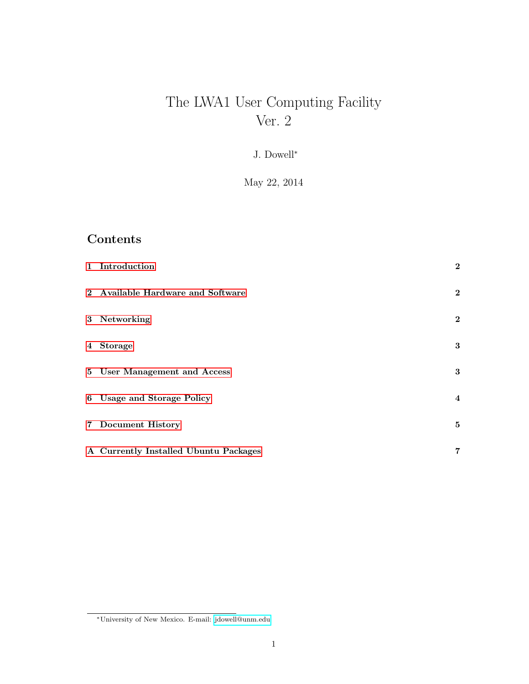# The LWA1 User Computing Facility Ver. 2

J. Dowell<sup>∗</sup>

May 22, 2014

# Contents

| 1 Introduction                        | $\mathbf{2}$     |
|---------------------------------------|------------------|
| 2 Available Hardware and Software     | $\boldsymbol{2}$ |
| 3 Networking                          | $\mathbf{2}$     |
| 4 Storage                             | 3                |
| 5 User Management and Access          | 3                |
| 6 Usage and Storage Policy            | $\overline{4}$   |
| 7 Document History                    | 5                |
| A Currently Installed Ubuntu Packages | $\overline{7}$   |

<sup>∗</sup>University of New Mexico. E-mail: [jdowell@unm.edu](mailto:jdowell@unm.edu)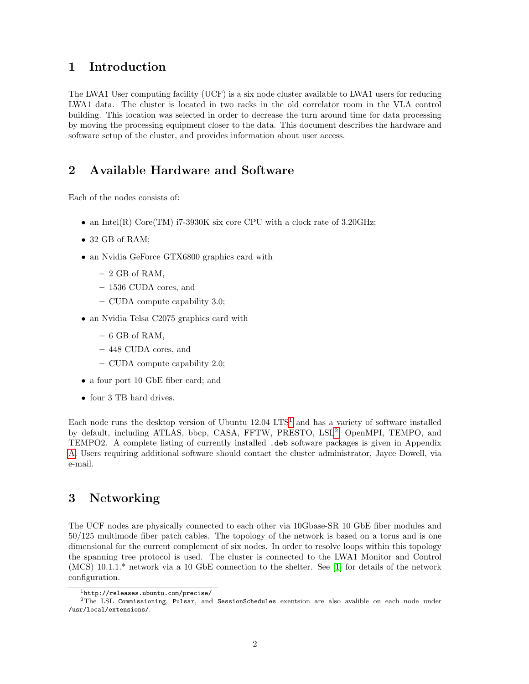#### <span id="page-1-0"></span>1 Introduction

The LWA1 User computing facility (UCF) is a six node cluster available to LWA1 users for reducing LWA1 data. The cluster is located in two racks in the old correlator room in the VLA control building. This location was selected in order to decrease the turn around time for data processing by moving the processing equipment closer to the data. This document describes the hardware and software setup of the cluster, and provides information about user access.

### <span id="page-1-1"></span>2 Available Hardware and Software

Each of the nodes consists of:

- an Intel(R) Core(TM) i7-3930K six core CPU with a clock rate of  $3.20\text{GHz}$ ;
- 32 GB of RAM;
- an Nvidia GeForce GTX6800 graphics card with
	- $-2$  GB of RAM,
	- 1536 CUDA cores, and
	- CUDA compute capability 3.0;
- an Nvidia Telsa C2075 graphics card with
	- $-6$  GB of RAM,
	- 448 CUDA cores, and
	- CUDA compute capability 2.0;
- a four port 10 GbE fiber card; and
- four 3 TB hard drives.

Each node runs the desktop version of Ubuntu  $12.04$  $12.04$  LTS<sup>1</sup> and has a variety of software installed by default, including ATLAS, bbcp, CASA, FFTW, PRESTO, LSL<sup>[2](#page-1-4)</sup>, OpenMPI, TEMPO, and TEMPO2. A complete listing of currently installed .deb software packages is given in Appendix [A.](#page-6-0) Users requiring additional software should contact the cluster administrator, Jayce Dowell, via e-mail.

#### <span id="page-1-2"></span>3 Networking

The UCF nodes are physically connected to each other via 10Gbase-SR 10 GbE fiber modules and 50/125 multimode fiber patch cables. The topology of the network is based on a torus and is one dimensional for the current complement of six nodes. In order to resolve loops within this topology the spanning tree protocol is used. The cluster is connected to the LWA1 Monitor and Control (MCS) 10.1.1.\* network via a 10 GbE connection to the shelter. See [\[1\]](#page-5-0) for details of the network configuration.

<span id="page-1-4"></span><span id="page-1-3"></span> $1$ http://releases.ubuntu.com/precise/

<sup>2</sup>The LSL Commissioning, Pulsar, and SessionSchedules exentsion are also avalible on each node under /usr/local/extensions/.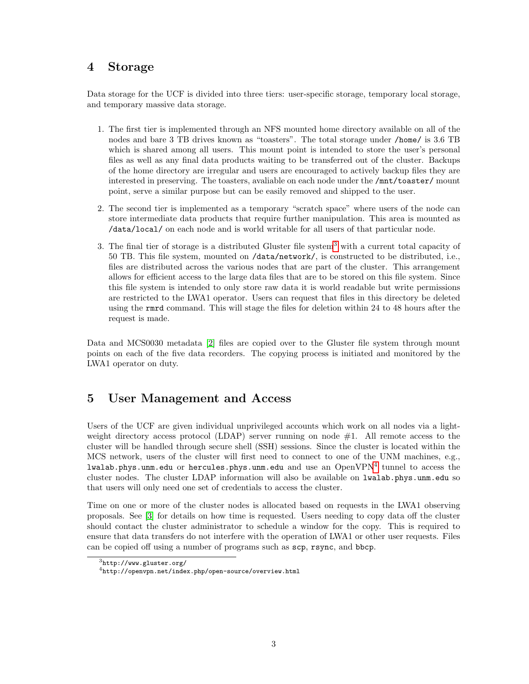#### <span id="page-2-0"></span>4 Storage

Data storage for the UCF is divided into three tiers: user-specific storage, temporary local storage, and temporary massive data storage.

- 1. The first tier is implemented through an NFS mounted home directory available on all of the nodes and bare 3 TB drives known as "toasters". The total storage under /home/ is 3.6 TB which is shared among all users. This mount point is intended to store the user's personal files as well as any final data products waiting to be transferred out of the cluster. Backups of the home directory are irregular and users are encouraged to actively backup files they are interested in preserving. The toasters, avaliable on each node under the /mnt/toaster/ mount point, serve a similar purpose but can be easily removed and shipped to the user.
- 2. The second tier is implemented as a temporary "scratch space" where users of the node can store intermediate data products that require further manipulation. This area is mounted as /data/local/ on each node and is world writable for all users of that particular node.
- 3. The final tier of storage is a distributed Gluster file system[3](#page-2-2) with a current total capacity of 50 TB. This file system, mounted on /data/network/, is constructed to be distributed, i.e., files are distributed across the various nodes that are part of the cluster. This arrangement allows for efficient access to the large data files that are to be stored on this file system. Since this file system is intended to only store raw data it is world readable but write permissions are restricted to the LWA1 operator. Users can request that files in this directory be deleted using the rmrd command. This will stage the files for deletion within 24 to 48 hours after the request is made.

Data and MCS0030 metadata [\[2\]](#page-5-1) files are copied over to the Gluster file system through mount points on each of the five data recorders. The copying process is initiated and monitored by the LWA1 operator on duty.

#### <span id="page-2-1"></span>5 User Management and Access

Users of the UCF are given individual unprivileged accounts which work on all nodes via a lightweight directory access protocol  $(LDAP)$  server running on node  $#1$ . All remote access to the cluster will be handled through secure shell (SSH) sessions. Since the cluster is located within the MCS network, users of the cluster will first need to connect to one of the UNM machines, e.g.,  $1$ walab.phys.unm.edu or hercules.phys.unm.edu and use an  $\mathrm{OpenVPN}^4$  $\mathrm{OpenVPN}^4$  tunnel to access the cluster nodes. The cluster LDAP information will also be available on lwalab.phys.unm.edu so that users will only need one set of credentials to access the cluster.

Time on one or more of the cluster nodes is allocated based on requests in the LWA1 observing proposals. See [\[3\]](#page-5-2) for details on how time is requested. Users needing to copy data off the cluster should contact the cluster administrator to schedule a window for the copy. This is required to ensure that data transfers do not interfere with the operation of LWA1 or other user requests. Files can be copied off using a number of programs such as scp, rsync, and bbcp.

<span id="page-2-2"></span> $3$ http://www.gluster.org/

<span id="page-2-3"></span><sup>4</sup>http://openvpn.net/index.php/open-source/overview.html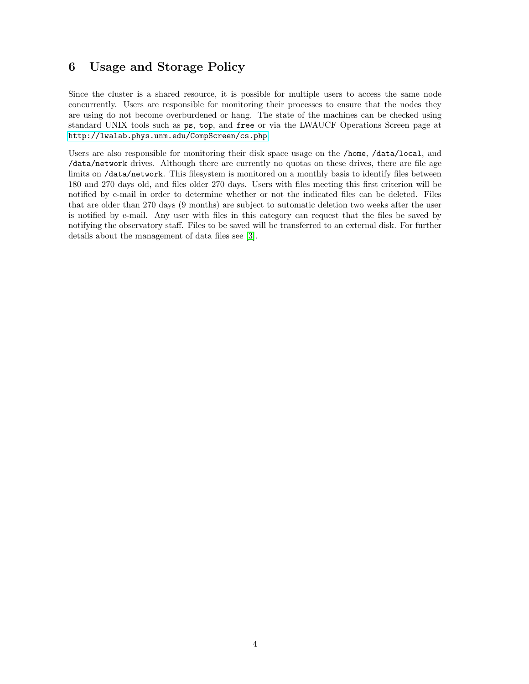#### <span id="page-3-0"></span>6 Usage and Storage Policy

Since the cluster is a shared resource, it is possible for multiple users to access the same node concurrently. Users are responsible for monitoring their processes to ensure that the nodes they are using do not become overburdened or hang. The state of the machines can be checked using standard UNIX tools such as ps, top, and free or via the LWAUCF Operations Screen page at <http://lwalab.phys.unm.edu/CompScreen/cs.php>.

Users are also responsible for monitoring their disk space usage on the /home, /data/local, and /data/network drives. Although there are currently no quotas on these drives, there are file age limits on /data/network. This filesystem is monitored on a monthly basis to identify files between 180 and 270 days old, and files older 270 days. Users with files meeting this first criterion will be notified by e-mail in order to determine whether or not the indicated files can be deleted. Files that are older than 270 days (9 months) are subject to automatic deletion two weeks after the user is notified by e-mail. Any user with files in this category can request that the files be saved by notifying the observatory staff. Files to be saved will be transferred to an external disk. For further details about the management of data files see [\[3\]](#page-5-2).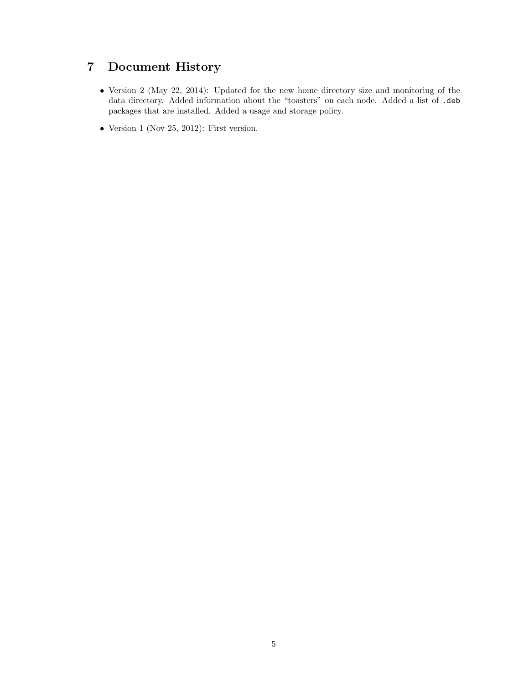# <span id="page-4-0"></span>7 Document History

- Version 2 (May 22, 2014): Updated for the new home directory size and monitoring of the data directory. Added information about the "toasters" on each node. Added a list of .deb packages that are installed. Added a usage and storage policy.
- Version 1 (Nov 25, 2012): First version.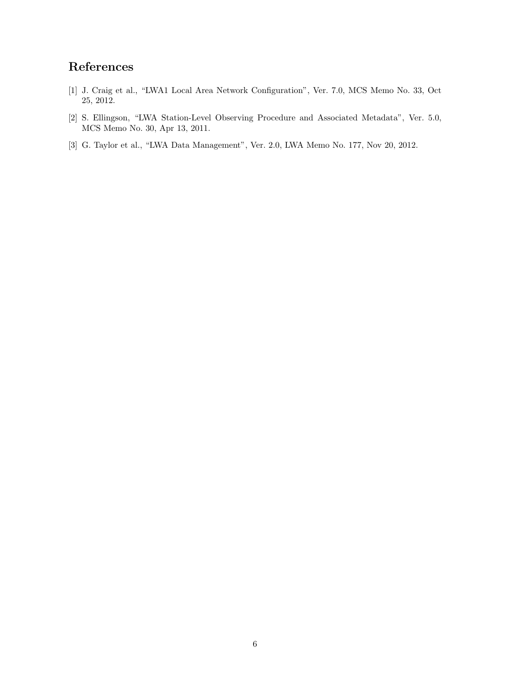## References

- <span id="page-5-0"></span>[1] J. Craig et al., "LWA1 Local Area Network Configuration", Ver. 7.0, MCS Memo No. 33, Oct 25, 2012.
- <span id="page-5-1"></span>[2] S. Ellingson, "LWA Station-Level Observing Procedure and Associated Metadata", Ver. 5.0, MCS Memo No. 30, Apr 13, 2011.
- <span id="page-5-2"></span>[3] G. Taylor et al., "LWA Data Management", Ver. 2.0, LWA Memo No. 177, Nov 20, 2012.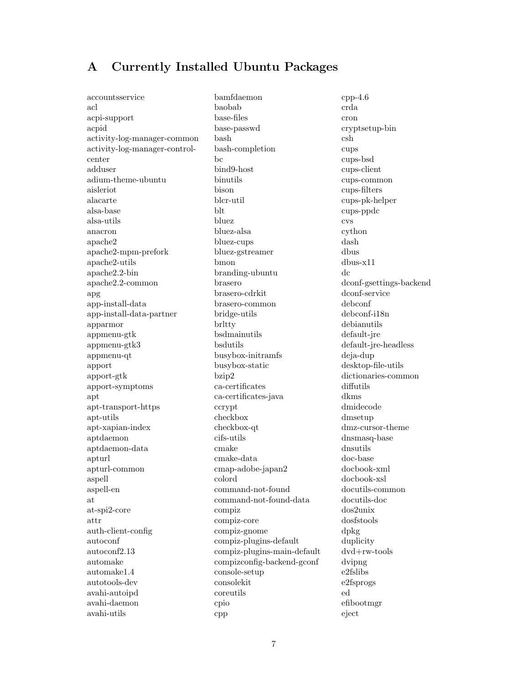#### <span id="page-6-0"></span>A Currently Installed Ubuntu Packages

accountsservice acl acpi-support acpid activity-log-manager-common activity-log-manager-controlcenter adduser adium-theme-ubuntu aisleriot alacarte alsa-base alsa-utils anacron apache2 apache2-mpm-prefork apache2-utils apache2.2-bin apache2.2-common apg app-install-data app-install-data-partner apparmor appmenu-gtk appmenu-gtk3 appmenu-qt apport apport-gtk apport-symptoms apt apt-transport-https apt-utils apt-xapian-index aptdaemon aptdaemon-data apturl apturl-common aspell aspell-en at at-spi2-core attr auth-client-config autoconf autoconf2.13 automake automake1.4 autotools-dev avahi-autoipd avahi-daemon avahi-utils

bamfdaemon baobab base-files base-passwd bash bash-completion bc bind9-host binutils bison blcr-util blt bluez bluez-alsa bluez-cups bluez-gstreamer bmon branding-ubuntu brasero brasero-cdrkit brasero-common bridge-utils brltty bsdmainutils bsdutils busybox-initramfs busybox-static bzip2 ca-certificates ca-certificates-java ccrypt checkbox checkbox-qt cifs-utils cmake cmake-data cmap-adobe-japan2 colord command-not-found command-not-found-data compiz compiz-core compiz-gnome compiz-plugins-default compiz-plugins-main-default compizconfig-backend-gconf console-setup consolekit coreutils cpio cpp

 $cpp-4.6$ crda cron cryptsetup-bin csh cups cups-bsd cups-client cups-common cups-filters cups-pk-helper cups-ppdc cvs cython dash dbus dbus-x11 dc dconf-gsettings-backend dconf-service debconf debconf-i18n debianutils default-jre default-jre-headless deja-dup desktop-file-utils dictionaries-common diffutils dkms dmidecode dmsetup dmz-cursor-theme dnsmasq-base dnsutils doc-base docbook-xml docbook-xsl docutils-common docutils-doc dos2unix dosfstools dpkg duplicity dvd+rw-tools dvipng e2fslibs e2fsprogs ed efibootmgr eject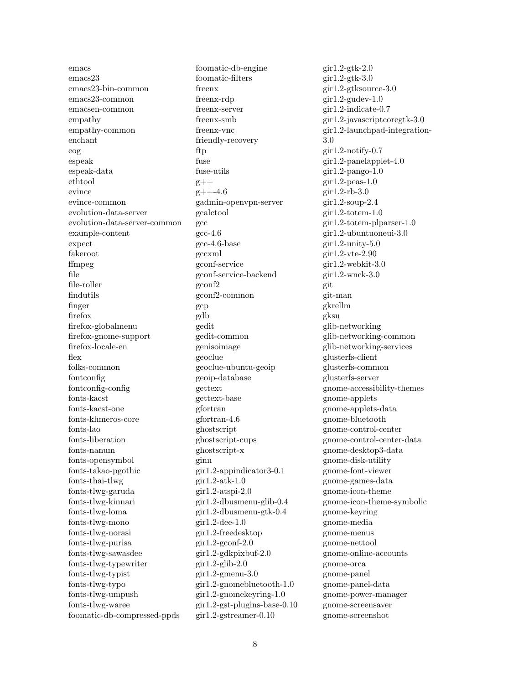emacs emacs23 emacs23-bin-common emacs23-common emacsen-common empathy empathy-common enchant eog espeak espeak-data ethtool evince evince-common evolution-data-server evolution-data-server-common example-content expect fakeroot ffmpeg file file-roller findutils finger firefox firefox-globalmenu firefox-gnome-support firefox-locale-en flex folks-common fontconfig fontconfig-config fonts-kacst fonts-kacst-one fonts-khmeros-core fonts-lao fonts-liberation fonts-nanum fonts-opensymbol fonts-takao-pgothic fonts-thai-tlwg fonts-tlwg-garuda fonts-tlwg-kinnari fonts-tlwg-loma fonts-tlwg-mono fonts-tlwg-norasi fonts-tlwg-purisa fonts-tlwg-sawasdee fonts-tlwg-typewriter fonts-tlwg-typist fonts-tlwg-typo fonts-tlwg-umpush fonts-tlwg-waree foomatic-db-compressed-ppds

foomatic-db-engine foomatic-filters freenx freenx-rdp freenx-server freenx-smb freenx-vnc friendly-recovery ftp fuse fuse-utils  $g++$  $g$ ++-4.6 gadmin-openvpn-server gcalctool gcc gcc-4.6 gcc-4.6-base gccxml gconf-service gconf-service-backend gconf2 gconf2-common gcp gdb gedit gedit-common genisoimage geoclue geoclue-ubuntu-geoip geoip-database gettext gettext-base gfortran gfortran-4.6 ghostscript ghostscript-cups ghostscript-x ginn gir1.2-appindicator3-0.1 gir1.2-atk-1.0 gir1.2-atspi-2.0 gir1.2-dbusmenu-glib-0.4 gir1.2-dbusmenu-gtk-0.4 gir1.2-dee-1.0 gir1.2-freedesktop  $g$ ir1.2-gconf-2.0 gir1.2-gdkpixbuf-2.0 gir1.2-glib-2.0 gir1.2-gmenu-3.0 gir1.2-gnomebluetooth-1.0 gir1.2-gnomekeyring-1.0 gir1.2-gst-plugins-base-0.10 gir1.2-gstreamer-0.10

gir1.2-gtk-2.0 gir1.2-gtk-3.0 gir1.2-gtksource-3.0 gir1.2-gudev-1.0 gir1.2-indicate-0.7 gir1.2-javascriptcoregtk-3.0 gir1.2-launchpad-integration-3.0 gir1.2-notify-0.7 gir1.2-panelapplet-4.0 gir1.2-pango-1.0  $g$ ir1.2-peas-1.0 gir1.2-rb-3.0 gir1.2-soup-2.4 gir1.2-totem-1.0 gir1.2-totem-plparser-1.0 gir1.2-ubuntuoneui-3.0 gir1.2-unity-5.0 gir1.2-vte-2.90 gir1.2-webkit-3.0 gir1.2-wnck-3.0 git git-man gkrellm gksu glib-networking glib-networking-common glib-networking-services glusterfs-client glusterfs-common glusterfs-server gnome-accessibility-themes gnome-applets gnome-applets-data gnome-bluetooth gnome-control-center gnome-control-center-data gnome-desktop3-data gnome-disk-utility gnome-font-viewer gnome-games-data gnome-icon-theme gnome-icon-theme-symbolic gnome-keyring gnome-media gnome-menus gnome-nettool gnome-online-accounts gnome-orca gnome-panel gnome-panel-data gnome-power-manager gnome-screensaver gnome-screenshot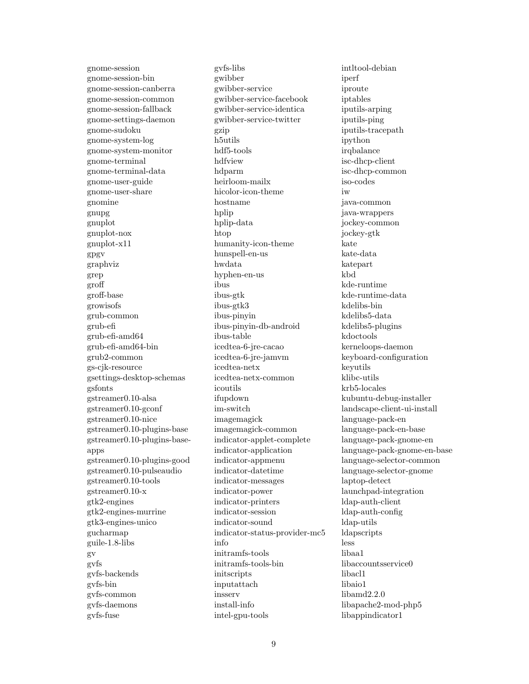gnome-session gnome-session-bin gnome-session-canberra gnome-session-common gnome-session-fallback gnome-settings-daemon gnome-sudoku gnome-system-log gnome-system-monitor gnome-terminal gnome-terminal-data gnome-user-guide gnome-user-share gnomine gnupg gnuplot gnuplot-nox gnuplot-x11 gpgv graphviz grep groff groff-base growisofs grub-common grub-efi grub-efi-amd64 grub-efi-amd64-bin grub2-common gs-cjk-resource gsettings-desktop-schemas gsfonts gstreamer0.10-alsa gstreamer0.10-gconf gstreamer0.10-nice gstreamer0.10-plugins-base gstreamer0.10-plugins-baseapps gstreamer0.10-plugins-good gstreamer0.10-pulseaudio gstreamer0.10-tools gstreamer0.10-x gtk2-engines gtk2-engines-murrine gtk3-engines-unico gucharmap guile-1.8-libs gv gvfs gvfs-backends gvfs-bin gvfs-common gvfs-daemons gvfs-fuse

gvfs-libs gwibber gwibber-service gwibber-service-facebook gwibber-service-identica gwibber-service-twitter gzip h5utils hdf5-tools hdfview hdparm heirloom-mailx hicolor-icon-theme hostname hplip hplip-data htop humanity-icon-theme hunspell-en-us hwdata hyphen-en-us ibus ibus-gtk ibus-gtk3 ibus-pinyin ibus-pinyin-db-android ibus-table icedtea-6-jre-cacao icedtea-6-jre-jamvm icedtea-netx icedtea-netx-common icoutils ifupdown im-switch imagemagick imagemagick-common indicator-applet-complete indicator-application indicator-appmenu indicator-datetime indicator-messages indicator-power indicator-printers indicator-session indicator-sound indicator-status-provider-mc5 info initramfs-tools initramfs-tools-bin initscripts inputattach insserv install-info intel-gpu-tools

intltool-debian iperf iproute iptables iputils-arping iputils-ping iputils-tracepath ipython irqbalance isc-dhcp-client isc-dhcp-common iso-codes iw java-common java-wrappers jockey-common jockey-gtk kate kate-data katepart kbd kde-runtime kde-runtime-data kdelibs-bin kdelibs5-data kdelibs5-plugins kdoctools kerneloops-daemon keyboard-configuration keyutils klibc-utils krb5-locales kubuntu-debug-installer landscape-client-ui-install language-pack-en language-pack-en-base language-pack-gnome-en language-pack-gnome-en-base language-selector-common language-selector-gnome laptop-detect launchpad-integration ldap-auth-client ldap-auth-config ldap-utils ldapscripts less libaa1 libaccountsservice0 libacl1 libaio1 libamd2.2.0 libapache2-mod-php5 libappindicator1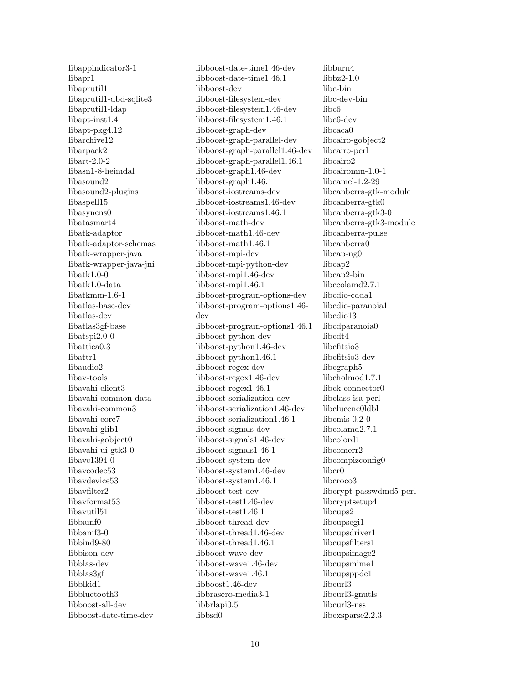libappindicator3-1 libapr1 libaprutil1 libaprutil1-dbd-sqlite3 libaprutil1-ldap libapt-inst1.4 libapt-pkg4.12 libarchive12 libarpack2 libart-2.0-2 libasn1-8-heimdal libasound2 libasound2-plugins libaspell15 libasyncns0 libatasmart4 libatk-adaptor libatk-adaptor-schemas libatk-wrapper-java libatk-wrapper-java-jni libatk1.0-0 libatk1.0-data libatkmm-1.6-1 libatlas-base-dev libatlas-dev libatlas3gf-base libatspi2.0-0 libattica0.3 libattr1 libaudio2 libav-tools libavahi-client3 libavahi-common-data libavahi-common3 libavahi-core7 libavahi-glib1 libavahi-gobject0 libavahi-ui-gtk3-0 libavc1394-0 libavcodec53 libavdevice53 libavfilter2 libavformat53 libavutil51 libbamf0 libbamf3-0 libbind9-80 libbison-dev libblas-dev libblas3gf libblkid1 libbluetooth3 libboost-all-dev libboost-date-time-dev

libboost-date-time1.46-dev libboost-date-time1.46.1 libboost-dev libboost-filesystem-dev libboost-filesystem1.46-dev libboost-filesystem1.46.1 libboost-graph-dev libboost-graph-parallel-dev libboost-graph-parallel1.46-dev libboost-graph-parallel1.46.1 libboost-graph1.46-dev libboost-graph1.46.1 libboost-iostreams-dev libboost-iostreams1.46-dev libboost-iostreams1.46.1 libboost-math-dev libboost-math1.46-dev libboost-math1.46.1 libboost-mpi-dev libboost-mpi-python-dev libboost-mpi1.46-dev libboost-mpi1.46.1 libboost-program-options-dev libboost-program-options1.46 dev libboost-program-options1.46.1 libboost-python-dev libboost-python1.46-dev libboost-python1.46.1 libboost-regex-dev libboost-regex1.46-dev libboost-regex1.46.1 libboost-serialization-dev libboost-serialization1.46-dev libboost-serialization1.46.1 libboost-signals-dev libboost-signals1.46-dev libboost-signals1.46.1 libboost-system-dev libboost-system1.46-dev libboost-system1.46.1 libboost-test-dev libboost-test1.46-dev libboost-test1.46.1 libboost-thread-dev libboost-thread1.46-dev libboost-thread1.46.1 libboost-wave-dev libboost-wave1.46-dev libboost-wave1.46.1 libboost1.46-dev libbrasero-media3-1 libbrlapi0.5 libbsd0

libburn4 libbz2-1.0 libc-bin libc-dev-bin libc6 libc6-dev libcaca0 libcairo-gobject2 libcairo-perl libcairo2 libcairomm-1.0-1 libcamel-1.2-29 libcanberra-gtk-module libcanberra-gtk0 libcanberra-gtk3-0 libcanberra-gtk3-module libcanberra-pulse libcanberra0 libcap-ng0 libcap2 libcap2-bin libccolamd2.7.1 libcdio-cdda1 libcdio-paranoia1 libcdio13 libcdparanoia0 libcdt4 libcfitsio3 libcfitsio3-dev libcgraph5 libcholmod1.7.1 libck-connector0 libclass-isa-perl libclucene0ldbl libcmis-0.2-0 libcolamd2.7.1 libcolord1 libcomerr2 libcompizconfig0 libcr0 libcroco3 libcrypt-passwdmd5-perl libcryptsetup4 libcups2 libcupscgi1 libcupsdriver1 libcupsfilters1 libcupsimage2 libcupsmime1 libcupsppdc1 libcurl3 libcurl3-gnutls libcurl3-nss libcxsparse2.2.3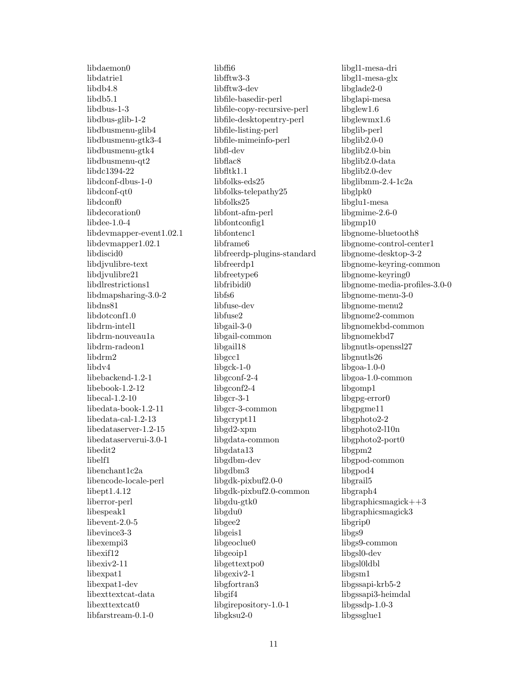libdaemon0 libdatrie1 libdb4.8 libdb5.1 libdbus-1-3 libdbus-glib-1-2 libdbusmenu-glib4 libdbusmenu-gtk3-4 libdbusmenu-gtk4 libdbusmenu-qt2 libdc1394-22 libdconf-dbus-1-0 libdconf-qt0 libdconf0 libdecoration0 libdee-1.0-4 libdevmapper-event1.02.1 libdevmapper1.02.1 libdiscid0 libdjvulibre-text libdjvulibre21 libdlrestrictions1 libdmapsharing-3.0-2 libdns81 libdotconf1.0 libdrm-intel1 libdrm-nouveau1a libdrm-radeon1 libdrm2 libdv4 libebackend-1.2-1 libebook-1.2-12 libecal-1.2-10 libedata-book-1.2-11 libedata-cal-1.2-13 libedataserver-1.2-15 libedataserverui-3.0-1 libedit2 libelf1 libenchant1c2a libencode-locale-perl libept1.4.12 liberror-perl libespeak1 libevent-2.0-5 libevince3-3 libexempi3 libexif12 libexiv2-11 libexpat1 libexpat1-dev libexttextcat-data libexttextcat0 libfarstream-0.1-0

libffi6 libfftw3-3 libfftw3-dev libfile-basedir-perl libfile-copy-recursive-perl libfile-desktopentry-perl libfile-listing-perl libfile-mimeinfo-perl libfl-dev libflac8 libfltk1.1 libfolks-eds25 libfolks-telepathy25 libfolks25 libfont-afm-perl libfontconfig1 libfontenc1 libframe6 libfreerdp-plugins-standard libfreerdp1 libfreetype6 libfribidi0 libfs6 libfuse-dev libfuse2 libgail-3-0 libgail-common libgail18 libgcc1 libgck-1-0 libgconf-2-4 libgconf2-4 libgcr-3-1 libgcr-3-common libgcrypt11 libgd2-xpm libgdata-common libgdata13 libgdbm-dev libgdbm3 libgdk-pixbuf2.0-0 libgdk-pixbuf2.0-common libgdu-gtk0 libgdu0 libgee2 libgeis1 libgeoclue0 libgeoip1 libgettextpo0 libgexiv2-1 libgfortran3 libgif4 libgirepository-1.0-1 libgksu2-0

libgl1-mesa-dri libgl1-mesa-glx libglade2-0 libglapi-mesa libglew1.6 libglewmx1.6 libglib-perl libglib2.0-0 libglib2.0-bin libglib2.0-data libglib2.0-dev libglibmm-2.4-1c2a libglpk0 libglu1-mesa libgmime-2.6-0 libgmp10 libgnome-bluetooth8 libgnome-control-center1 libgnome-desktop-3-2 libgnome-keyring-common libgnome-keyring0 libgnome-media-profiles-3.0-0 libgnome-menu-3-0 libgnome-menu2 libgnome2-common libgnomekbd-common libgnomekbd7 libgnutls-openssl27 libgnutls26 libgoa-1.0-0 libgoa-1.0-common libgomp1 libgpg-error0 libgpgme11 libgphoto2-2 libgphoto2-l10n libgphoto2-port0 libgpm2 libgpod-common libgpod4 libgrail5 libgraph4 libgraphicsmagick++3 libgraphicsmagick3 libgrip0 libgs9 libgs9-common libgsl0-dev libgsl0ldbl libgsm1 libgssapi-krb5-2 libgssapi3-heimdal libgssdp-1.0-3 libgssglue1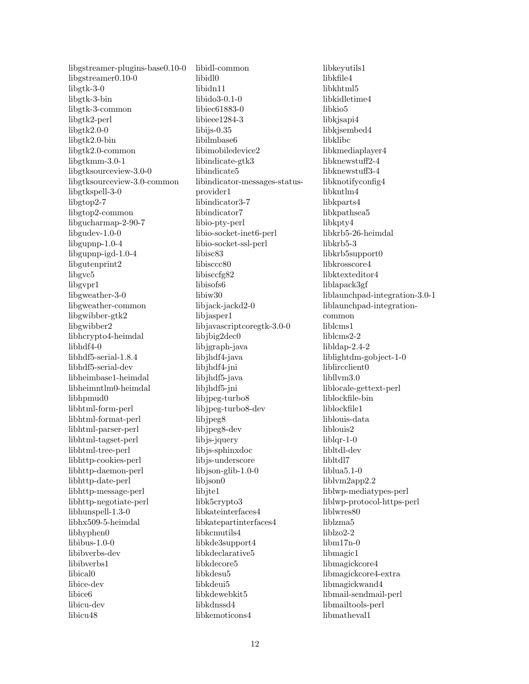libgstreamer-plugins-base0.10-0 libgstreamer0.10-0 libgtk-3-0 libgtk-3-bin libgtk-3-common libgtk2-perl libgtk2.0-0 libgtk2.0-bin libgtk2.0-common libgtkmm-3.0-1 libgtksourceview-3.0-0 libgtksourceview-3.0-common libgtkspell-3-0 libgtop2-7 libgtop2-common libgucharmap-2-90-7 libgudev-1.0-0 libgupnp-1.0-4 libgupnp-igd-1.0-4 libgutenprint2 libgvc5 libgvpr1 libgweather-3-0 libgweather-common libgwibber-gtk2 libgwibber2 libhcrypto4-heimdal libhdf4-0 libhdf5-serial-1.8.4 libhdf5-serial-dev libheimbase1-heimdal libheimntlm0-heimdal libhpmud0 libhtml-form-perl libhtml-format-perl libhtml-parser-perl libhtml-tagset-perl libhtml-tree-perl libhttp-cookies-perl libhttp-daemon-perl libhttp-date-perl libhttp-message-perl libhttp-negotiate-perl libhunspell-1.3-0 libhx509-5-heimdal libhyphen0 libibus-1.0-0 libibverbs-dev libibverbs1 libical0 libice-dev libice6 libicu-dev libicu48

libidl-common libidl0 libidn11 libido3-0.1-0 libiec61883-0 libieee1284-3  $libiis-0.35$ libilmbase6 libimobiledevice2 libindicate-gtk3 libindicate5 libindicator-messages-statusprovider1 libindicator3-7 libindicator7 libio-pty-perl libio-socket-inet6-perl libio-socket-ssl-perl libisc83 libisccc80 libisccfg82 libisofs6 libiw30 libjack-jackd2-0 libjasper1 libjavascriptcoregtk-3.0-0 libjbig2dec0 libjgraph-java libjhdf4-java libjhdf4-jni libjhdf5-java libjhdf5-jni libjpeg-turbo8 libjpeg-turbo8-dev libjpeg8 libjpeg8-dev libjs-jquery libjs-sphinxdoc libjs-underscore libjson-glib-1.0-0 libjson0 libjte1 libk5crypto3 libkateinterfaces4 libkatepartinterfaces4 libkcmutils4 libkde3support4 libkdeclarative5 libkdecore5 libkdesu5 libkdeui5 libkdewebkit5 libkdnssd4 libkemoticons4

libkeyutils1 libkfile4 libkhtml5 libkidletime4 libkio5 libkjsapi4 libkjsembed4 libklibc libkmediaplayer4 libknewstuff2-4 libknewstuff3-4 libknotifyconfig4 libkntlm4 libkparts4 libkpathsea5 libkpty4 libkrb5-26-heimdal libkrb5-3 libkrb5support0 libkrosscore4 libktexteditor4 liblapack3gf liblaunchpad-integration-3.0-1 liblaunchpad-integrationcommon liblcms1 liblcms2-2 libldap-2.4-2 liblightdm-gobject-1-0 liblircclient0 libllvm3.0 liblocale-gettext-perl liblockfile-bin liblockfile1 liblouis-data liblouis2 liblqr-1-0 libltdl-dev libltdl7 liblua5.1-0 liblvm2app2.2 liblwp-mediatypes-perl liblwp-protocol-https-perl liblwres80 liblzma5 liblzo2-2 libm17n-0 libmagic1 libmagickcore4 libmagickcore4-extra libmagickwand4 libmail-sendmail-perl libmailtools-perl libmatheval1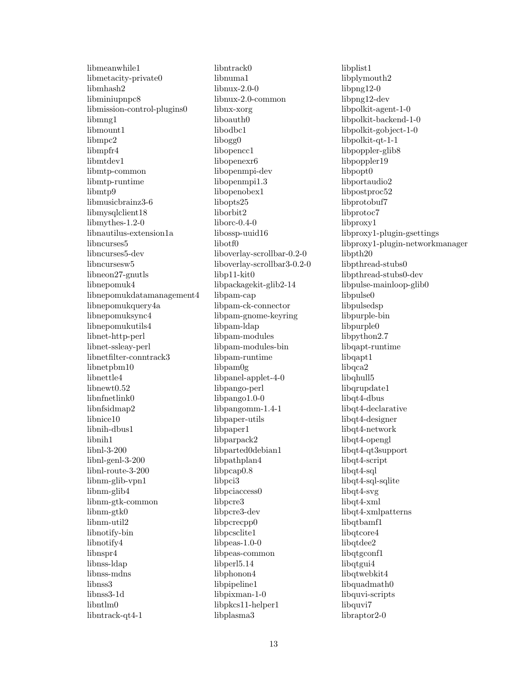libmeanwhile1 libmetacity-private0 libmhash2 libminiupnpc8 libmission-control-plugins0 libmng1 libmount1 libmpc2 libmpfr4 libmtdev1 libmtp-common libmtp-runtime libmtp9 libmusicbrainz3-6 libmysqlclient18 libmythes-1.2-0 libnautilus-extension1a libncurses5 libncurses5-dev libncursesw5 libneon27-gnutls libnepomuk4 libnepomukdatamanagement4 libnepomukquery4a libnepomuksync4 libnepomukutils4 libnet-http-perl libnet-ssleay-perl libnetfilter-conntrack3 libnetpbm10 libnettle4 libnewt0.52 libnfnetlink0 libnfsidmap2 libnice10 libnih-dbus1 libnih1 libnl-3-200 libnl-genl-3-200 libnl-route-3-200 libnm-glib-vpn1 libnm-glib4 libnm-gtk-common libnm-gtk0 libnm-util2 libnotify-bin libnotify4 libnspr4 libnss-ldap libnss-mdns libnss3 libnss3-1d libntlm0 libntrack-qt4-1

libntrack0 libnuma1 libnux-2.0-0 libnux-2.0-common libnx-xorg liboauth0 libodbc1 libogg0 libopencc1 libopenexr6 libopenmpi-dev libopenmpi1.3 libopenobex1 libopts25 liborbit2 liborc-0.4-0 libossp-uuid16 libotf0 liboverlay-scrollbar-0.2-0 liboverlay-scrollbar3-0.2-0 libp11-kit0 libpackagekit-glib2-14 libpam-cap libpam-ck-connector libpam-gnome-keyring libpam-ldap libpam-modules libpam-modules-bin libpam-runtime libpam0g libpanel-applet-4-0 libpango-perl libpango1.0-0 libpangomm-1.4-1 libpaper-utils libpaper1 libparpack2 libparted0debian1 libpathplan4 libpcap0.8 libpci3 libpciaccess0 libpcre3 libpcre3-dev libpcrecpp0 libpcsclite1 libpeas-1.0-0 libpeas-common libperl5.14 libphonon4 libpipeline1 libpixman-1-0 libpkcs11-helper1 libplasma3

libplist1 libplymouth2 libpng12-0 libpng12-dev libpolkit-agent-1-0 libpolkit-backend-1-0 libpolkit-gobject-1-0 libpolkit-qt-1-1 libpoppler-glib8 libpoppler19 libpopt0 libportaudio2 libpostproc52 libprotobuf7 libprotoc7 libproxy1 libproxy1-plugin-gsettings libproxy1-plugin-networkmanager libpth20 libpthread-stubs0 libpthread-stubs0-dev libpulse-mainloop-glib0 libpulse0 libpulsedsp libpurple-bin libpurple0 libpython2.7 libqapt-runtime libqapt1 libqca2 libqhull5 libqrupdate1 libqt4-dbus libqt4-declarative libqt4-designer libqt4-network libqt4-opengl libqt4-qt3support libqt4-script libqt4-sql libqt4-sql-sqlite libqt4-svg libqt4-xml libqt4-xmlpatterns libqtbamf1 libqtcore4 libqtdee2 libqtgconf1 libqtgui4 libqtwebkit4 libquadmath0 libquvi-scripts libquvi7 libraptor2-0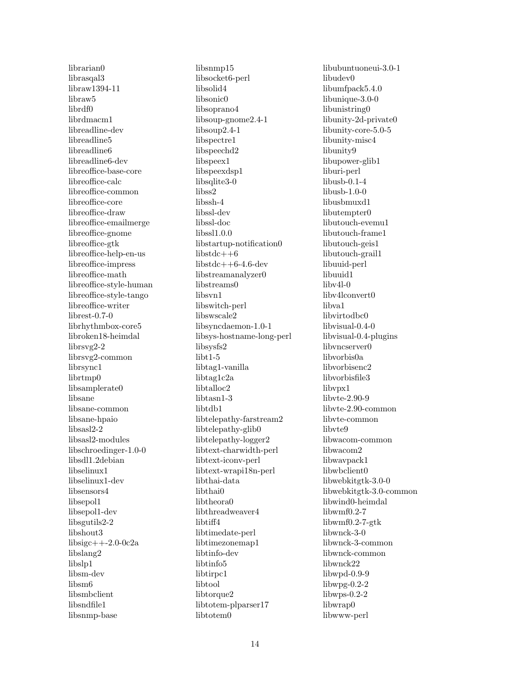librarian0 librasqal3 libraw1394-11 libraw5 librdf0 librdmacm1 libreadline-dev libreadline5 libreadline6 libreadline6-dev libreoffice-base-core libreoffice-calc libreoffice-common libreoffice-core libreoffice-draw libreoffice-emailmerge libreoffice-gnome libreoffice-gtk libreoffice-help-en-us libreoffice-impress libreoffice-math libreoffice-style-human libreoffice-style-tango libreoffice-writer librest-0.7-0 librhythmbox-core5 libroken18-heimdal librsvg2-2 librsvg2-common librsync1 librtmp0 libsamplerate0 libsane libsane-common libsane-hpaio libsasl2-2 libsasl2-modules libschroedinger-1.0-0 libsdl1.2debian libselinux1 libselinux1-dev libsensors4 libsepol1 libsepol1-dev libsgutils2-2 libshout3 libsigc++-2.0-0c2a libslang2 libslp1 libsm-dev libsm6 libsmbclient libsndfile1 libsnmp-base

libsnmp15 libsocket6-perl libsolid4 libsonic0 libsoprano4 libsoup-gnome2.4-1 libsoup2.4-1 libspectre1 libspeechd2 libspeex1 libspeexdsp1 libsqlite3-0 libss2 libssh-4 libssl-dev libssl-doc libssl1.0.0 libstartup-notification0 libstdc++6  $libstdc++6-4.6-dev$ libstreamanalyzer0 libstreams0 libsvn1 libswitch-perl libswscale2 libsyncdaemon-1.0-1 libsys-hostname-long-perl libsysfs2 libt1-5 libtag1-vanilla libtag1c2a libtalloc2 libtasn1-3 libtdb1 libtelepathy-farstream2 libtelepathy-glib0 libtelepathy-logger2 libtext-charwidth-perl libtext-iconv-perl libtext-wrapi18n-perl libthai-data libthai0 libtheora0 libthreadweaver4 libtiff4 libtimedate-perl libtimezonemap1 libtinfo-dev libtinfo5 libtirpc1 libtool libtorque2 libtotem-plparser17 libtotem0

libubuntuoneui-3.0-1 libudev0 libumfpack5.4.0 libunique-3.0-0 libunistring0 libunity-2d-private0 libunity-core-5.0-5 libunity-misc4 libunity9 libupower-glib1 liburi-perl libusb-0.1-4 libusb-1.0-0 libusbmuxd1 libutempter0 libutouch-evemu1 libutouch-frame1 libutouch-geis1 libutouch-grail1 libuuid-perl libuuid1 libv4l-0 libv4lconvert0 libva1 libvirtodbc0 libvisual-0.4-0 libvisual-0.4-plugins libvncserver0 libvorbis0a libvorbisenc2 libvorbisfile3 libvpx1 libvte-2.90-9 libvte-2.90-common libvte-common libvte9 libwacom-common libwacom2 libwavpack1 libwbclient0 libwebkitgtk-3.0-0 libwebkitgtk-3.0-common libwind0-heimdal libwmf0.2-7 libwmf0.2-7-gtk libwnck-3-0 libwnck-3-common libwnck-common libwnck22 libwpd-0.9-9 libwpg-0.2-2 libwps-0.2-2 libwrap0 libwww-perl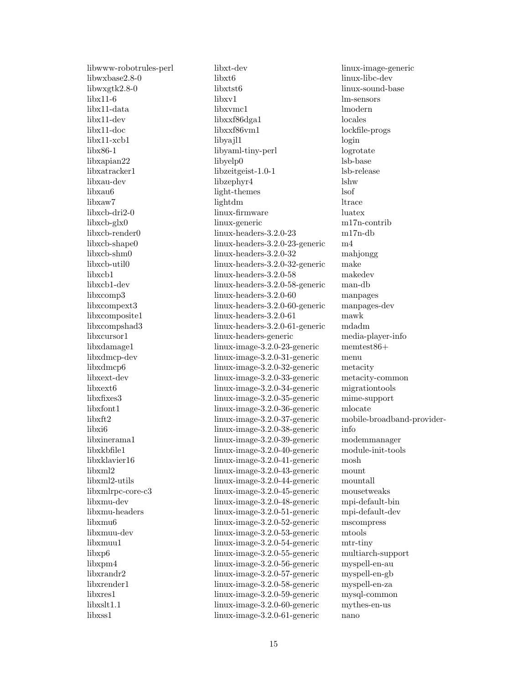libwww-robotrules-perl libwxbase2.8-0 libwxgtk2.8-0 libx11-6 libx11-data libx11-dev libx11-doc libx11-xcb1 libx86-1 libxapian22 libxatracker1 libxau-dev libxau6 libxaw7 libxcb-dri2-0 libxcb-glx0 libxcb-render0 libxcb-shape0 libxcb-shm0 libxcb-util0 libxcb1 libxcb1-dev libxcomp3 libxcompext3 libxcomposite1 libxcompshad3 libxcursor1 libxdamage1 libxdmcp-dev libxdmcp6 libxext-dev libxext6 libxfixes3 libxfont1 libxft2 libxi6 libxinerama1 libxkbfile1 libxklavier16 libxml2 libxml2-utils libxmlrpc-core-c3 libxmu-dev libxmu-headers libxmu6 libxmuu-dev libxmuu1 libxp6 libxpm4 libxrandr2 libxrender1 libxres1 libxslt1.1 libxss1

libxt-dev libxt6 libxtst6 libxv1 libxvmc1 libxxf86dga1 libxxf86vm1 libyajl1 libyaml-tiny-perl libyelp0 libzeitgeist-1.0-1 libzephyr4 light-themes lightdm linux-firmware linux-generic linux-headers-3.2.0-23 linux-headers-3.2.0-23-generic linux-headers-3.2.0-32 linux-headers-3.2.0-32-generic linux-headers-3.2.0-58 linux-headers-3.2.0-58-generic linux-headers-3.2.0-60 linux-headers-3.2.0-60-generic linux-headers-3.2.0-61 linux-headers-3.2.0-61-generic linux-headers-generic linux-image-3.2.0-23-generic linux-image-3.2.0-31-generic linux-image-3.2.0-32-generic linux-image-3.2.0-33-generic linux-image-3.2.0-34-generic linux-image-3.2.0-35-generic linux-image-3.2.0-36-generic linux-image-3.2.0-37-generic linux-image-3.2.0-38-generic linux-image-3.2.0-39-generic linux-image-3.2.0-40-generic linux-image-3.2.0-41-generic linux-image-3.2.0-43-generic linux-image-3.2.0-44-generic linux-image-3.2.0-45-generic linux-image-3.2.0-48-generic linux-image-3.2.0-51-generic linux-image-3.2.0-52-generic linux-image-3.2.0-53-generic linux-image-3.2.0-54-generic linux-image-3.2.0-55-generic linux-image-3.2.0-56-generic linux-image-3.2.0-57-generic linux-image-3.2.0-58-generic linux-image-3.2.0-59-generic linux-image-3.2.0-60-generic linux-image-3.2.0-61-generic

linux-image-generic linux-libc-dev linux-sound-base lm-sensors lmodern locales lockfile-progs login logrotate lsb-base lsb-release lshw lsof ltrace luatex m17n-contrib m17n-db m4 mahiongg make makedev man-db manpages manpages-dev mawk mdadm media-player-info memtest86+ menu metacity metacity-common migrationtools mime-support mlocate mobile-broadband-providerinfo modemmanager module-init-tools mosh mount mountall mousetweaks mpi-default-bin mpi-default-dev mscompress mtools mtr-tiny multiarch-support myspell-en-au myspell-en-gb myspell-en-za mysql-common mythes-en-us nano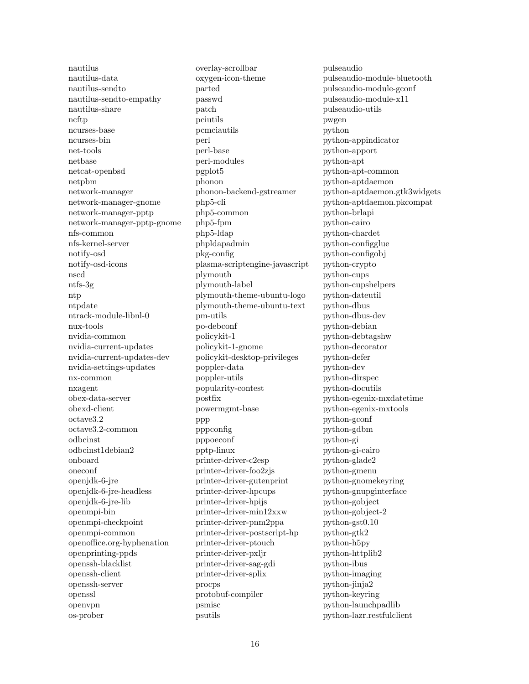nautilus nautilus-data nautilus-sendto nautilus-sendto-empathy nautilus-share ncftp ncurses-base ncurses-bin net-tools netbase netcat-openbsd netpbm network-manager network-manager-gnome network-manager-pptp network-manager-pptp-gnome nfs-common nfs-kernel-server notify-osd notify-osd-icons nscd ntfs-3g ntp ntpdate ntrack-module-libnl-0 nux-tools nvidia-common nvidia-current-updates nvidia-current-updates-dev nvidia-settings-updates nx-common nxagent obex-data-server obexd-client octave3.2 octave3.2-common odbcinst odbcinst1debian2 onboard oneconf openjdk-6-jre openjdk-6-jre-headless openjdk-6-jre-lib openmpi-bin openmpi-checkpoint openmpi-common openoffice.org-hyphenation openprinting-ppds openssh-blacklist openssh-client openssh-server openssl openvpn os-prober

overlay-scrollbar oxygen-icon-theme parted passwd patch pciutils pcmciautils perl perl-base perl-modules pgplot5 phonon phonon-backend-gstreamer php5-cli php5-common php5-fpm php5-ldap phpldapadmin pkg-config plasma-scriptengine-javascript plymouth plymouth-label plymouth-theme-ubuntu-logo plymouth-theme-ubuntu-text pm-utils po-debconf policykit-1 policykit-1-gnome policykit-desktop-privileges poppler-data poppler-utils popularity-contest postfix powermgmt-base ppp pppconfig pppoeconf pptp-linux printer-driver-c2esp printer-driver-foo2zjs printer-driver-gutenprint printer-driver-hpcups printer-driver-hpijs printer-driver-min12xxw printer-driver-pnm2ppa printer-driver-postscript-hp printer-driver-ptouch printer-driver-pxljr printer-driver-sag-gdi printer-driver-splix procps protobuf-compiler psmisc psutils

pulseaudio pulseaudio-module-bluetooth pulseaudio-module-gconf pulseaudio-module-x11 pulseaudio-utils pwgen python python-appindicator python-apport python-apt python-apt-common python-aptdaemon python-aptdaemon.gtk3widgets python-aptdaemon.pkcompat python-brlapi python-cairo python-chardet python-configglue python-configobj python-crypto python-cups python-cupshelpers python-dateutil python-dbus python-dbus-dev python-debian python-debtagshw python-decorator python-defer python-dev python-dirspec python-docutils python-egenix-mxdatetime python-egenix-mxtools python-gconf python-gdbm python-gi python-gi-cairo python-glade2 python-gmenu python-gnomekeyring python-gnupginterface python-gobject python-gobject-2 python-gst0.10 python-gtk2 python-h5py python-httplib2 python-ibus python-imaging python-jinja2 python-keyring python-launchpadlib python-lazr.restfulclient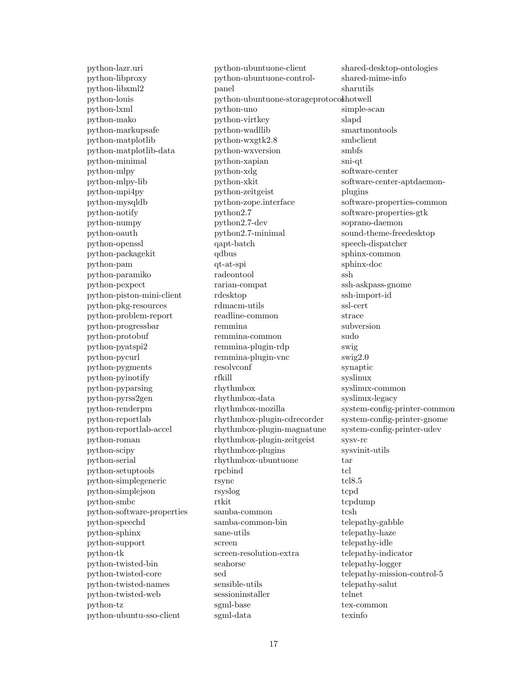python-lazr.uri python-libproxy python-libxml2 python-louis python-lxml python-mako python-markupsafe python-matplotlib python-matplotlib-data python-minimal python-mlpy python-mlpy-lib python-mpi4py python-mysqldb python-notify python-numpy python-oauth python-openssl python-packagekit python-pam python-paramiko python-pexpect python-piston-mini-client python-pkg-resources python-problem-report python-progressbar python-protobuf python-pyatspi2 python-pycurl python-pygments python-pyinotify python-pyparsing python-pyrss2gen python-renderpm python-reportlab python-reportlab-accel python-roman python-scipy python-serial python-setuptools python-simplegeneric python-simplejson python-smbc python-software-properties python-speechd python-sphinx python-support python-tk python-twisted-bin python-twisted-core python-twisted-names python-twisted-web python-tz python-ubuntu-sso-client

python-ubuntuone-client python-ubuntuone-controlpanel python-ubuntuone-storageprotocoshotwell python-uno python-virtkey python-wadllib python-wxgtk2.8 python-wxversion python-xapian python-xdg python-xkit python-zeitgeist python-zope.interface python2.7 python2.7-dev python2.7-minimal qapt-batch qdbus qt-at-spi radeontool rarian-compat rdesktop rdmacm-utils readline-common remmina remmina-common remmina-plugin-rdp remmina-plugin-vnc resolvconf rfkill rhythmbox rhythmbox-data rhythmbox-mozilla rhythmbox-plugin-cdrecorder rhythmbox-plugin-magnatune rhythmbox-plugin-zeitgeist rhythmbox-plugins rhythmbox-ubuntuone rpcbind rsync rsyslog rtkit samba-common samba-common-bin sane-utils screen screen-resolution-extra seahorse sed sensible-utils sessioninstaller sgml-base sgml-data

shared-desktop-ontologies shared-mime-info sharutils simple-scan slapd smartmontools smbclient smbfs sni-qt software-center software-center-aptdaemonplugins software-properties-common software-properties-gtk soprano-daemon sound-theme-freedesktop speech-dispatcher sphinx-common sphinx-doc ssh ssh-askpass-gnome ssh-import-id ssl-cert strace subversion sudo swig swig2.0 synaptic syslinux syslinux-common syslinux-legacy system-config-printer-common system-config-printer-gnome system-config-printer-udev sysv-rc sysvinit-utils tar tcl tcl8.5 tcpd tcpdump tcsh telepathy-gabble telepathy-haze telepathy-idle telepathy-indicator telepathy-logger telepathy-mission-control-5 telepathy-salut telnet tex-common texinfo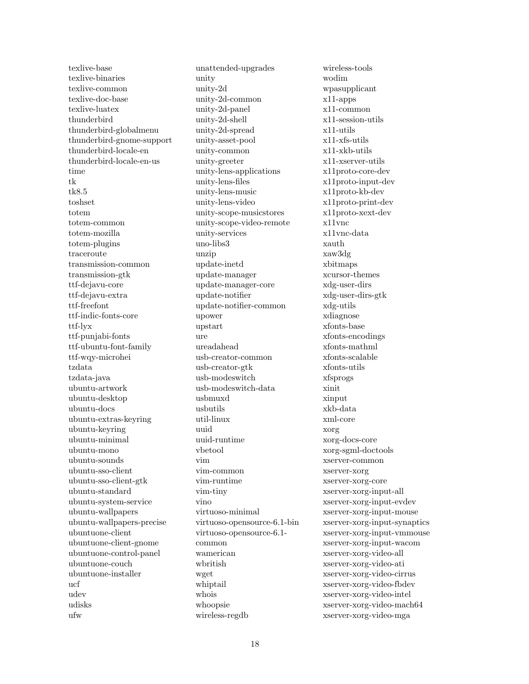texlive-base texlive-binaries texlive-common texlive-doc-base texlive-luatex thunderbird thunderbird-globalmenu thunderbird-gnome-support thunderbird-locale-en thunderbird-locale-en-us time tk tk8.5 toshset totem totem-common totem-mozilla totem-plugins traceroute transmission-common transmission-gtk ttf-dejavu-core ttf-dejavu-extra ttf-freefont ttf-indic-fonts-core ttf-lyx ttf-punjabi-fonts ttf-ubuntu-font-family ttf-wqy-microhei tzdata tzdata-java ubuntu-artwork ubuntu-desktop ubuntu-docs ubuntu-extras-keyring ubuntu-keyring ubuntu-minimal ubuntu-mono ubuntu-sounds ubuntu-sso-client ubuntu-sso-client-gtk ubuntu-standard ubuntu-system-service ubuntu-wallpapers ubuntu-wallpapers-precise ubuntuone-client ubuntuone-client-gnome ubuntuone-control-panel ubuntuone-couch ubuntuone-installer ucf udev udisks ufw

unattended-upgrades unity unity-2d unity-2d-common unity-2d-panel unity-2d-shell unity-2d-spread unity-asset-pool unity-common unity-greeter unity-lens-applications unity-lens-files unity-lens-music unity-lens-video unity-scope-musicstores unity-scope-video-remote unity-services uno-libs3 unzip update-inetd update-manager update-manager-core update-notifier update-notifier-common upower upstart ure ureadahead usb-creator-common usb-creator-gtk usb-modeswitch usb-modeswitch-data usbmuxd usbutils util-linux uuid uuid-runtime vbetool vim vim-common vim-runtime vim-tiny vino virtuoso-minimal virtuoso-opensource-6.1-bin virtuoso-opensource-6.1 common wamerican wbritish wget whiptail whois whoopsie wireless-regdb

wireless-tools wodim wpasupplicant x11-apps x11-common x11-session-utils x11-utils x11-xfs-utils x11-xkb-utils x11-xserver-utils x11proto-core-dev x11proto-input-dev x11proto-kb-dev x11proto-print-dev x11proto-xext-dev x11vnc x11vnc-data xauth xaw3dg xbitmaps xcursor-themes xdg-user-dirs xdg-user-dirs-gtk xdg-utils xdiagnose xfonts-base xfonts-encodings xfonts-mathml xfonts-scalable xfonts-utils xfsprogs xinit xinput xkb-data xml-core xorg xorg-docs-core xorg-sgml-doctools xserver-common xserver-xorg xserver-xorg-core xserver-xorg-input-all xserver-xorg-input-evdev xserver-xorg-input-mouse xserver-xorg-input-synaptics xserver-xorg-input-vmmouse xserver-xorg-input-wacom xserver-xorg-video-all xserver-xorg-video-ati xserver-xorg-video-cirrus xserver-xorg-video-fbdev xserver-xorg-video-intel xserver-xorg-video-mach64 xserver-xorg-video-mga